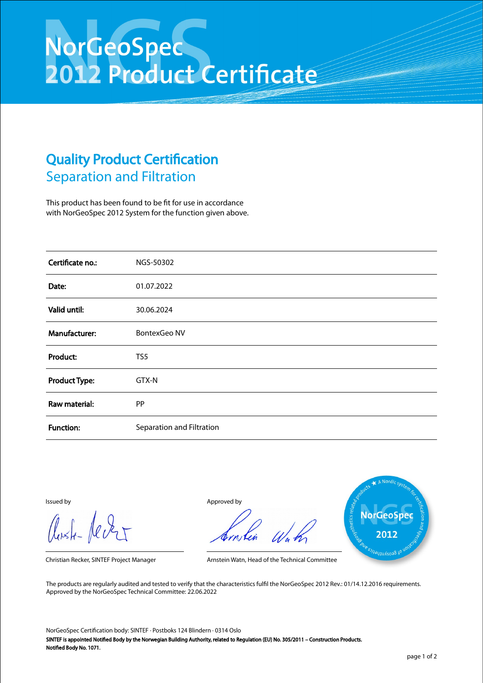## NorGeoSpec<br>2012 Product Certificate

## Quality Product Certification Separation and Filtration

This product has been found to be fit for use in accordance with NorGeoSpec 2012 System for the function given above.

| Certificate no.:     | NGS-50302                 |
|----------------------|---------------------------|
| Date:                | 01.07.2022                |
| Valid until:         | 30.06.2024                |
| Manufacturer:        | <b>BontexGeo NV</b>       |
| Product:             | TS5                       |
| <b>Product Type:</b> | GTX-N                     |
| Raw material:        | PP                        |
| <b>Function:</b>     | Separation and Filtration |

Aust-Jever

Issued by Approved by



Christian Recker, SINTEF Project Manager Arnstein Watn, Head of the Technical Committee

The products are regularly audited and tested to verify that the characteristics fulfil the NorGeoSpec 2012 Rev.: 01/14.12.2016 requirements. Approved by the NorGeoSpec Technical Committee: 22.06.2022